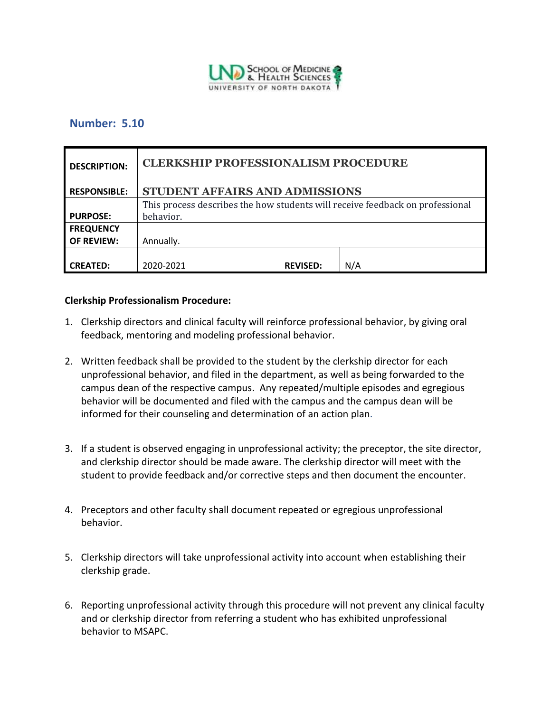

### **Number: 5.10**

| <b>DESCRIPTION:</b> | <b>CLERKSHIP PROFESSIONALISM PROCEDURE</b>                                    |                 |     |
|---------------------|-------------------------------------------------------------------------------|-----------------|-----|
| <b>RESPONSIBLE:</b> | STUDENT AFFAIRS AND ADMISSIONS                                                |                 |     |
|                     | This process describes the how students will receive feedback on professional |                 |     |
| <b>PURPOSE:</b>     | behavior.                                                                     |                 |     |
| <b>FREQUENCY</b>    |                                                                               |                 |     |
| <b>OF REVIEW:</b>   | Annually.                                                                     |                 |     |
|                     |                                                                               |                 |     |
| <b>CREATED:</b>     | 2020-2021                                                                     | <b>REVISED:</b> | N/A |

#### **Clerkship Professionalism Procedure:**

- 1. Clerkship directors and clinical faculty will reinforce professional behavior, by giving oral feedback, mentoring and modeling professional behavior.
- 2. Written feedback shall be provided to the student by the clerkship director for each unprofessional behavior, and filed in the department, as well as being forwarded to the campus dean of the respective campus. Any repeated/multiple episodes and egregious behavior will be documented and filed with the campus and the campus dean will be informed for their counseling and determination of an action plan.
- 3. If a student is observed engaging in unprofessional activity; the preceptor, the site director, and clerkship director should be made aware. The clerkship director will meet with the student to provide feedback and/or corrective steps and then document the encounter.
- 4. Preceptors and other faculty shall document repeated or egregious unprofessional behavior.
- 5. Clerkship directors will take unprofessional activity into account when establishing their clerkship grade.
- 6. Reporting unprofessional activity through this procedure will not prevent any clinical faculty and or clerkship director from referring a student who has exhibited unprofessional behavior to MSAPC.